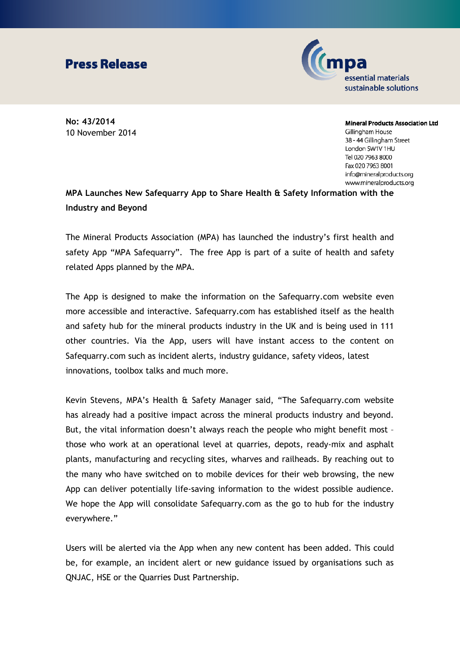## **Press Release**



**No: 43/2014** 10 November 2014

**Mineral Products Association Ltd** Gillingham House 38 - 44 Gillingham Street London SW1V 1HU Tel 020 7963 8000 Fax 020 7963 8001 info@mineralproducts.org www.mineralproducts.org

## **MPA Launches New Safequarry App to Share Health & Safety Information with the Industry and Beyond**

The Mineral Products Association (MPA) has launched the industry's first health and safety App "MPA Safequarry". The free App is part of a suite of health and safety related Apps planned by the MPA.

The App is designed to make the information on the Safequarry.com website even more accessible and interactive. Safequarry.com has established itself as the health and safety hub for the mineral products industry in the UK and is being used in 111 other countries. Via the App, users will have instant access to the content on Safequarry.com such as incident alerts, industry guidance, safety videos, latest innovations, toolbox talks and much more.

Kevin Stevens, MPA's Health & Safety Manager said, "The Safequarry.com website has already had a positive impact across the mineral products industry and beyond. But, the vital information doesn't always reach the people who might benefit most – those who work at an operational level at quarries, depots, ready-mix and asphalt plants, manufacturing and recycling sites, wharves and railheads. By reaching out to the many who have switched on to mobile devices for their web browsing, the new App can deliver potentially life-saving information to the widest possible audience. We hope the App will consolidate Safequarry.com as the go to hub for the industry everywhere."

Users will be alerted via the App when any new content has been added. This could be, for example, an incident alert or new guidance issued by organisations such as QNJAC, HSE or the Quarries Dust Partnership.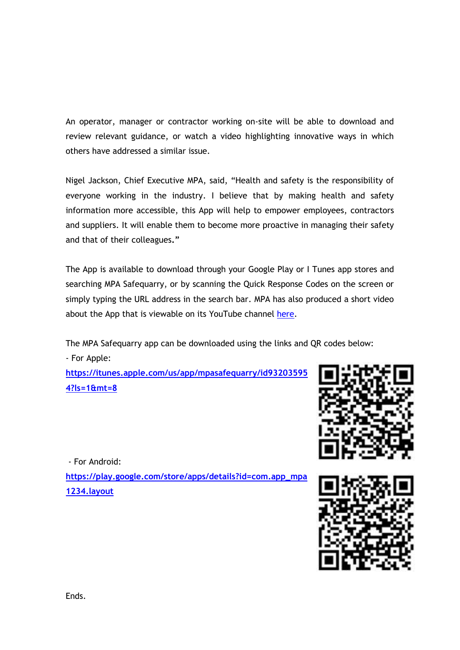An operator, manager or contractor working on-site will be able to download and review relevant guidance, or watch a video highlighting innovative ways in which others have addressed a similar issue.

Nigel Jackson, Chief Executive MPA, said, "Health and safety is the responsibility of everyone working in the industry. I believe that by making health and safety information more accessible, this App will help to empower employees, contractors and suppliers. It will enable them to become more proactive in managing their safety and that of their colleagues**."**

The App is available to download through your Google Play or I Tunes app stores and searching MPA Safequarry, or by scanning the Quick Response Codes on the screen or simply typing the URL address in the search bar. MPA has also produced a short video about the App that is viewable on its YouTube channel [here.](https://www.youtube.com/watch?v=dtDQAVwqYKs&index=24&list=PLXu4cRX3643eu7vMD-Y1UCmGudZoQqjMn)

The MPA Safequarry app can be downloaded using the links and QR codes below: - For Apple:

**[https://itunes.apple.com/us/app/mpasafequarry/id93203595](https://itunes.apple.com/us/app/mpasafequarry/id932035954?ls=1&mt=8) [4?ls=1&mt=8](https://itunes.apple.com/us/app/mpasafequarry/id932035954?ls=1&mt=8)**



- For Android:

**[https://play.google.com/store/apps/details?id=com.app\\_mpa](https://play.google.com/store/apps/details?id=com.app_mpa1234.layout) [1234.layout](https://play.google.com/store/apps/details?id=com.app_mpa1234.layout)**